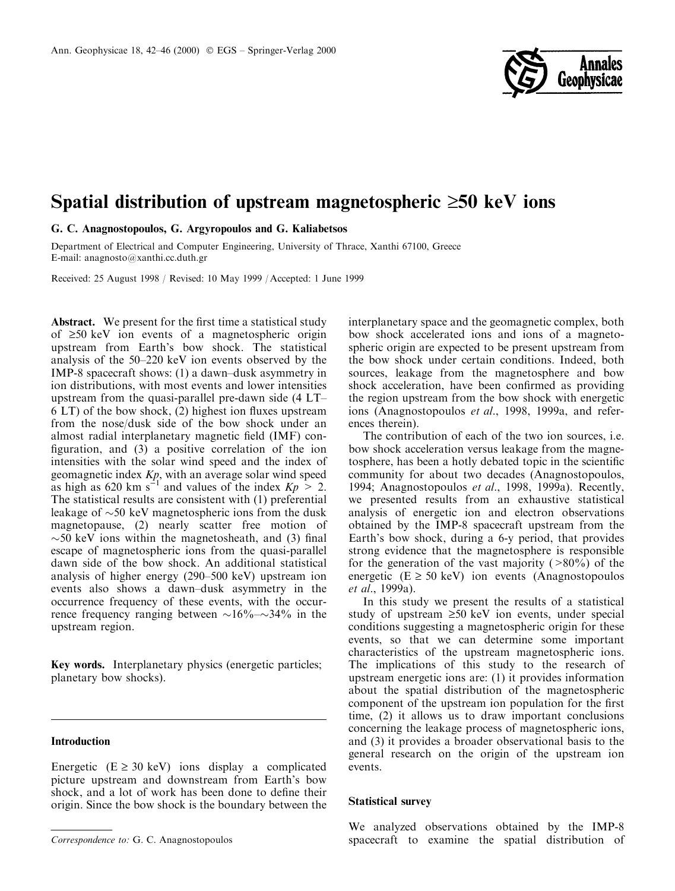

# Spatial distribution of upstream magnetospheric  $\geq 50$  keV ions

G. C. Anagnostopoulos, G. Argyropoulos and G. Kaliabetsos

Department of Electrical and Computer Engineering, University of Thrace, Xanthi 67100, Greece E-mail: anagnosto@xanthi.cc.duth.gr

Received: 25 August 1998 / Revised: 10 May 1999 / Accepted: 1 June 1999

Abstract. We present for the first time a statistical study of  $\geq 50$  keV ion events of a magnetospheric origin upstream from Earth's bow shock. The statistical analysis of the  $50-220$  keV ion events observed by the IMP-8 spacecraft shows: (1) a dawn±dusk asymmetry in ion distributions, with most events and lower intensities upstream from the quasi-parallel pre-dawn side  $(4 LT<sub>+</sub>)$  $6$  LT) of the bow shock, (2) highest ion fluxes upstream from the nose/dusk side of the bow shock under an almost radial interplanetary magnetic field (IMF) configuration, and  $(3)$  a positive correlation of the ion intensities with the solar wind speed and the index of geomagnetic index Kp, with an average solar wind speed as high as 620 km s<sup>-1</sup> and values of the index  $Kp > 2$ . The statistical results are consistent with (1) preferential leakage of  $\sim$ 50 keV magnetospheric ions from the dusk magnetopause, (2) nearly scatter free motion of  $\sim$  50 keV ions within the magnetosheath, and (3) final escape of magnetospheric ions from the quasi-parallel dawn side of the bow shock. An additional statistical analysis of higher energy (290-500 keV) upstream ion events also shows a dawn-dusk asymmetry in the occurrence frequency of these events, with the occurrence frequency ranging between  $\sim 16\% - \sim 34\%$  in the upstream region.

Key words. Interplanetary physics (energetic particles; planetary bow shocks).

# Introduction

Energetic  $(E \ge 30 \text{ keV})$  ions display a complicated picture upstream and downstream from Earth's bow shock, and a lot of work has been done to define their origin. Since the bow shock is the boundary between the interplanetary space and the geomagnetic complex, both bow shock accelerated ions and ions of a magnetospheric origin are expected to be present upstream from the bow shock under certain conditions. Indeed, both sources, leakage from the magnetosphere and bow shock acceleration, have been confirmed as providing the region upstream from the bow shock with energetic ions (Anagnostopoulos et al., 1998, 1999a, and references therein).

The contribution of each of the two ion sources, i.e. bow shock acceleration versus leakage from the magnetosphere, has been a hotly debated topic in the scientific community for about two decades (Anagnostopoulos, 1994; Anagnostopoulos et al., 1998, 1999a). Recently, we presented results from an exhaustive statistical analysis of energetic ion and electron observations obtained by the IMP-8 spacecraft upstream from the Earth's bow shock, during a 6-y period, that provides strong evidence that the magnetosphere is responsible for the generation of the vast majority ( $>80\%$ ) of the energetic  $(E \ge 50 \text{ keV})$  ion events (Anagnostopoulos et al., 1999a).

In this study we present the results of a statistical study of upstream  $\geq 50$  keV ion events, under special conditions suggesting a magnetospheric origin for these events, so that we can determine some important characteristics of the upstream magnetospheric ions. The implications of this study to the research of upstream energetic ions are: (1) it provides information about the spatial distribution of the magnetospheric component of the upstream ion population for the first time, (2) it allows us to draw important conclusions concerning the leakage process of magnetospheric ions, and (3) it provides a broader observational basis to the general research on the origin of the upstream ion events.

### Statistical survey

We analyzed observations obtained by the IMP-8 Correspondence to: G. C. Anagnostopoulos spacecraft to examine the spatial distribution of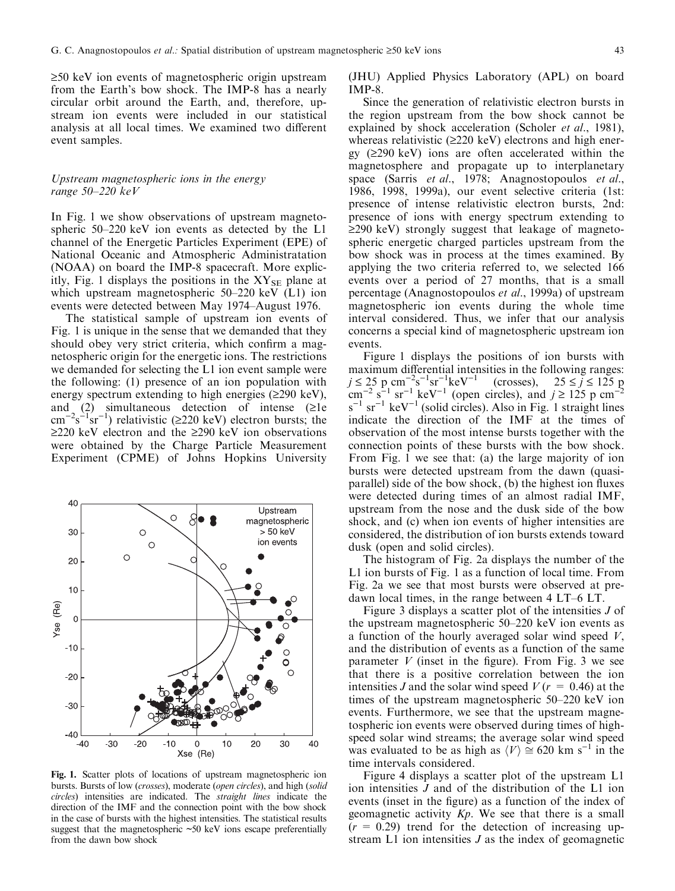$\geq$ 50 keV ion events of magnetospheric origin upstream from the Earth's bow shock. The IMP-8 has a nearly circular orbit around the Earth, and, therefore, upstream ion events were included in our statistical analysis at all local times. We examined two different event samples.

## Upstream magnetospheric ions in the energy range  $50-220$  keV

In Fig. 1 we show observations of upstream magnetospheric  $50-220$  keV ion events as detected by the L1 channel of the Energetic Particles Experiment (EPE) of National Oceanic and Atmospheric Administratation (NOAA) on board the IMP-8 spacecraft. More explicitly, Fig. 1 displays the positions in the  $XY_{SE}$  plane at which upstream magnetospheric  $50-220 \text{ keV}$  (L1) ion events were detected between May 1974-August 1976.

The statistical sample of upstream ion events of Fig. 1 is unique in the sense that we demanded that they should obey very strict criteria, which confirm a magnetospheric origin for the energetic ions. The restrictions we demanded for selecting the L1 ion event sample were the following: (1) presence of an ion population with energy spectrum extending to high energies  $(\geq 290 \text{ keV})$ , and (2) simultaneous detection of intense ( $\geq 1e$ )  $\text{cm}^{-2} \text{s}^{-1} \text{sr}^{-1}$ ) relativistic ( $\geq 220 \text{ keV}$ ) electron bursts; the  $\geq$ 220 keV electron and the  $\geq$ 290 keV ion observations were obtained by the Charge Particle Measurement Experiment (CPME) of Johns Hopkins University



Fig. 1. Scatter plots of locations of upstream magnetospheric ion bursts. Bursts of low (crosses), moderate (open circles), and high (solid circles) intensities are indicated. The straight lines indicate the direction of the IMF and the connection point with the bow shock in the case of bursts with the highest intensities. The statistical results suggest that the magnetospheric  $\sim 50 \text{ keV}$  ions escape preferentially from the dawn bow shock

(JHU) Applied Physics Laboratory (APL) on board IMP-8.

Since the generation of relativistic electron bursts in the region upstream from the bow shock cannot be explained by shock acceleration (Scholer et al., 1981), whereas relativistic  $(\geq 220 \text{ keV})$  electrons and high energy  $(2290 \text{ keV})$  ions are often accelerated within the magnetosphere and propagate up to interplanetary space (Sarris et al., 1978; Anagnostopoulos et al., 1986, 1998, 1999a), our event selective criteria (1st: presence of intense relativistic electron bursts, 2nd: presence of ions with energy spectrum extending to  $\geq$ 290 keV) strongly suggest that leakage of magnetospheric energetic charged particles upstream from the bow shock was in process at the times examined. By applying the two criteria referred to, we selected 166 events over a period of 27 months, that is a small percentage (Anagnostopoulos et al., 1999a) of upstream magnetospheric ion events during the whole time interval considered. Thus, we infer that our analysis concerns a special kind of magnetospheric upstream ion events.

Figure 1 displays the positions of ion bursts with maximum differential intensities in the following ranges:  $j \le 25$  p cm<sup>-2</sup>s<sup>-1</sup>sr<sup>-1</sup>keV<sup>-1</sup> (crosses),  $25 \le j \le 125$  p  $\text{cm}^{-2} \text{ s}^{-1} \text{ sr}^{-1} \text{ keV}^{-1}$  (open circles), and  $j \ge 125 \text{ p cm}^{-2}$  $s^{-1}$  sr<sup>-1</sup> keV<sup>-1</sup> (solid circles). Also in Fig. 1 straight lines indicate the direction of the IMF at the times of observation of the most intense bursts together with the connection points of these bursts with the bow shock. From Fig. 1 we see that: (a) the large majority of ion bursts were detected upstream from the dawn (quasiparallel) side of the bow shock,  $(b)$  the highest ion fluxes were detected during times of an almost radial IMF, upstream from the nose and the dusk side of the bow shock, and (c) when ion events of higher intensities are considered, the distribution of ion bursts extends toward dusk (open and solid circles).

The histogram of Fig. 2a displays the number of the L1 ion bursts of Fig. 1 as a function of local time. From Fig. 2a we see that most bursts were observed at predawn local times, in the range between  $4 LT-6 LT$ .

Figure 3 displays a scatter plot of the intensities J of the upstream magnetospheric  $50-220$  keV ion events as a function of the hourly averaged solar wind speed  $V$ , and the distribution of events as a function of the same parameter V (inset in the figure). From Fig. 3 we see that there is a positive correlation between the ion intensities J and the solar wind speed  $V(r = 0.46)$  at the times of the upstream magnetospheric  $50-220$  keV ion events. Furthermore, we see that the upstream magnetospheric ion events were observed during times of highspeed solar wind streams; the average solar wind speed was evaluated to be as high as  $\langle V \rangle \cong 620$  km s<sup>-1</sup> in the time intervals considered.

Figure 4 displays a scatter plot of the upstream L1 ion intensities J and of the distribution of the L1 ion events (inset in the figure) as a function of the index of geomagnetic activity  $Kp$ . We see that there is a small  $(r = 0.29)$  trend for the detection of increasing upstream L1 ion intensities J as the index of geomagnetic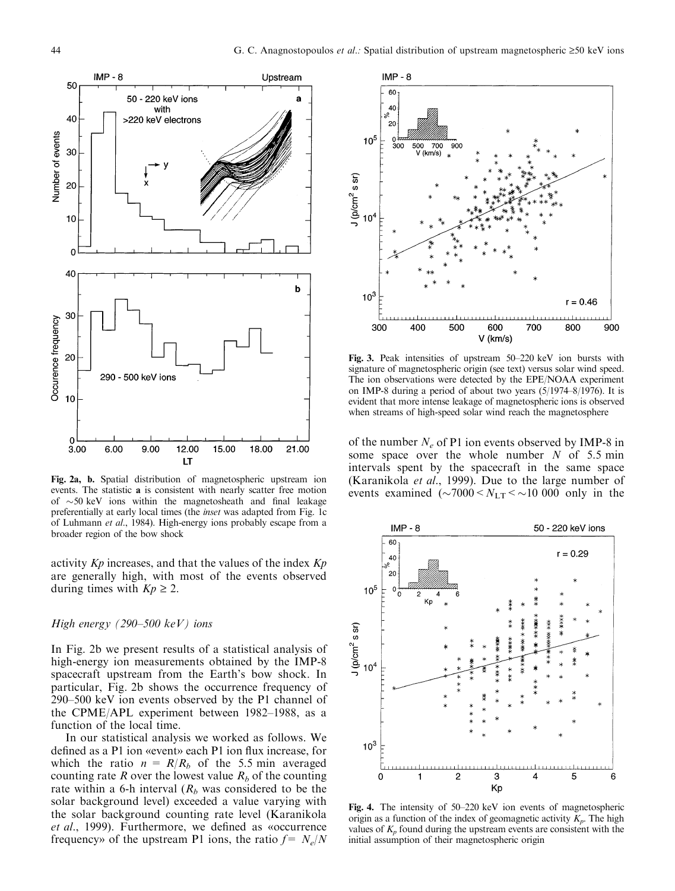

Fig. 2a, b. Spatial distribution of magnetospheric upstream ion events. The statistic a is consistent with nearly scatter free motion of  $\sim$  50 keV ions within the magnetosheath and final leakage preferentially at early local times (the inset was adapted from Fig. 1c of Luhmann et al., 1984). High-energy ions probably escape from a broader region of the bow shock

activity  $Kp$  increases, and that the values of the index  $Kp$ are generally high, with most of the events observed during times with  $Kp \geq 2$ .

# High energy (290-500 keV) ions

In Fig. 2b we present results of a statistical analysis of high-energy ion measurements obtained by the IMP-8 spacecraft upstream from the Earth's bow shock. In particular, Fig. 2b shows the occurrence frequency of  $290-500$  keV ion events observed by the P1 channel of the CPME/APL experiment between  $1982-1988$ , as a function of the local time.

In our statistical analysis we worked as follows. We defined as a P1 ion «event» each P1 ion flux increase, for which the ratio  $n = R/R_b$  of the 5.5 min averaged counting rate R over the lowest value  $R_b$  of the counting rate within a 6-h interval  $(R_b$  was considered to be the solar background level) exceeded a value varying with the solar background counting rate level (Karanikola et al., 1999). Furthermore, we defined as «occurrence frequency» of the upstream P1 ions, the ratio  $f = N_e/N$ 



Fig. 3. Peak intensities of upstream 50-220 keV ion bursts with signature of magnetospheric origin (see text) versus solar wind speed. The ion observations were detected by the EPE/NOAA experiment on IMP-8 during a period of about two years  $(5/1974-8/1976)$ . It is evident that more intense leakage of magnetospheric ions is observed when streams of high-speed solar wind reach the magnetosphere

of the number  $N_e$  of P1 ion events observed by IMP-8 in some space over the whole number  $N$  of 5.5 min intervals spent by the spacecraft in the same space (Karanikola et al., 1999). Due to the large number of events examined  $(\sim 7000 < N_{LT} < 10000$  only in the



Fig. 4. The intensity of  $50-220$  keV ion events of magnetospheric origin as a function of the index of geomagnetic activity  $K_p$ . The high values of  $K_p$  found during the upstream events are consistent with the initial assumption of their magnetospheric origin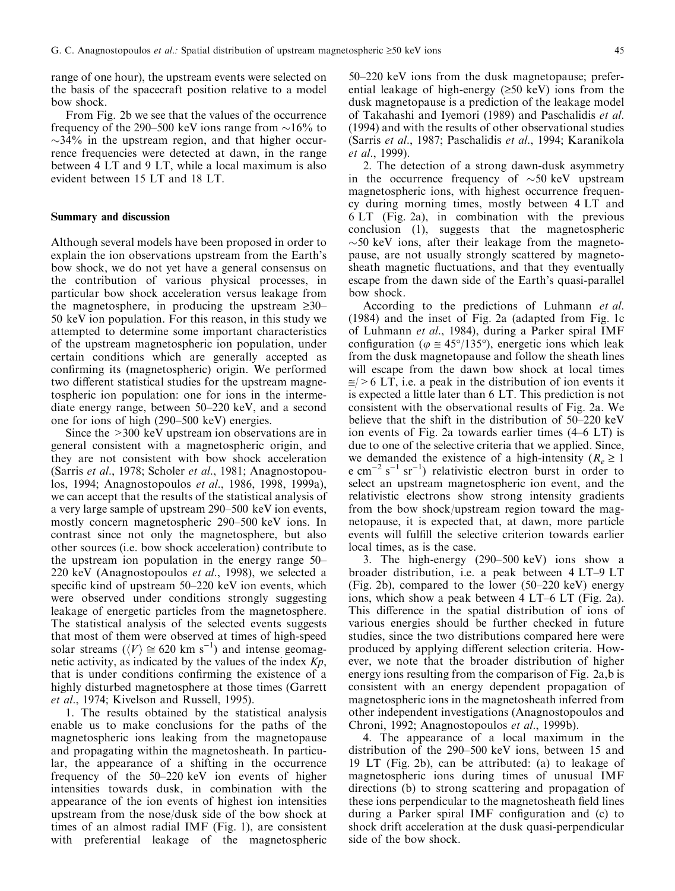range of one hour), the upstream events were selected on the basis of the spacecraft position relative to a model bow shock.

From Fig. 2b we see that the values of the occurrence frequency of the 290–500 keV ions range from  $\sim$ 16% to  $\sim$ 34% in the upstream region, and that higher occurrence frequencies were detected at dawn, in the range between 4 LT and 9 LT, while a local maximum is also evident between 15 LT and 18 LT.

# Summary and discussion

Although several models have been proposed in order to explain the ion observations upstream from the Earth's bow shock, we do not yet have a general consensus on the contribution of various physical processes, in particular bow shock acceleration versus leakage from the magnetosphere, in producing the upstream  $\geq 30-$ 50 keV ion population. For this reason, in this study we attempted to determine some important characteristics of the upstream magnetospheric ion population, under certain conditions which are generally accepted as confirming its (magnetospheric) origin. We performed two different statistical studies for the upstream magnetospheric ion population: one for ions in the intermediate energy range, between  $50-220$  keV, and a second one for ions of high  $(290-500 \text{ keV})$  energies.

Since the >300 keV upstream ion observations are in general consistent with a magnetospheric origin, and they are not consistent with bow shock acceleration (Sarris et al., 1978; Scholer et al., 1981; Anagnostopoulos, 1994; Anagnostopoulos et al., 1986, 1998, 1999a), we can accept that the results of the statistical analysis of a very large sample of upstream 290–500 keV ion events, mostly concern magnetospheric 290–500 keV ions. In contrast since not only the magnetosphere, but also other sources (i.e. bow shock acceleration) contribute to the upstream ion population in the energy range  $50-$ 220 keV (Anagnostopoulos et al., 1998), we selected a specific kind of upstream  $50-220$  keV ion events, which were observed under conditions strongly suggesting leakage of energetic particles from the magnetosphere. The statistical analysis of the selected events suggests that most of them were observed at times of high-speed solar streams ( $\langle V \rangle \cong 620$  km s<sup>-1</sup>) and intense geomagnetic activity, as indicated by the values of the index  $Kp$ , that is under conditions confirming the existence of a highly disturbed magnetosphere at those times (Garrett et al., 1974; Kivelson and Russell, 1995).

1. The results obtained by the statistical analysis enable us to make conclusions for the paths of the magnetospheric ions leaking from the magnetopause and propagating within the magnetosheath. In particular, the appearance of a shifting in the occurrence frequency of the  $50-220 \text{ keV}$  ion events of higher intensities towards dusk, in combination with the appearance of the ion events of highest ion intensities upstream from the nose/dusk side of the bow shock at times of an almost radial IMF (Fig. 1), are consistent with preferential leakage of the magnetospheric

 $50-220$  keV ions from the dusk magnetopause; preferential leakage of high-energy  $(\geq 50 \text{ keV})$  ions from the dusk magnetopause is a prediction of the leakage model of Takahashi and Iyemori (1989) and Paschalidis et al. (1994) and with the results of other observational studies (Sarris et al., 1987; Paschalidis et al., 1994; Karanikola et al., 1999).

2. The detection of a strong dawn-dusk asymmetry in the occurrence frequency of  $\sim 50 \text{ keV}$  upstream magnetospheric ions, with highest occurrence frequency during morning times, mostly between 4 LT and 6 LT (Fig. 2a), in combination with the previous conclusion (1), suggests that the magnetospheric  $\sim$ 50 keV ions, after their leakage from the magnetopause, are not usually strongly scattered by magnetosheath magnetic fluctuations, and that they eventually escape from the dawn side of the Earth's quasi-parallel bow shock.

According to the predictions of Luhmann et al. (1984) and the inset of Fig. 2a (adapted from Fig. 1c of Luhmann et al., 1984), during a Parker spiral IMF configuration ( $\varphi \approx 45^{\circ}/135^{\circ}$ ), energetic ions which leak from the dusk magnetopause and follow the sheath lines will escape from the dawn bow shock at local times  $\approx$  > 6 LT, i.e. a peak in the distribution of ion events it is expected a little later than 6 LT. This prediction is not consistent with the observational results of Fig. 2a. We believe that the shift in the distribution of  $50-220$  keV ion events of Fig. 2a towards earlier times  $(4-6 \text{ LT})$  is due to one of the selective criteria that we applied. Since, we demanded the existence of a high-intensity ( $R_e \ge 1$ ) e cm<sup>-2</sup> s<sup>-1</sup> sr<sup>-1</sup>) relativistic electron burst in order to select an upstream magnetospheric ion event, and the relativistic electrons show strong intensity gradients from the bow shock/upstream region toward the magnetopause, it is expected that, at dawn, more particle events will fulfill the selective criterion towards earlier local times, as is the case.

3. The high-energy (290-500 keV) ions show a broader distribution, i.e. a peak between  $4 LT-9 LT$ (Fig. 2b), compared to the lower  $(50-220 \text{ keV})$  energy ions, which show a peak between  $4 LT-6 LT$  (Fig. 2a). This difference in the spatial distribution of ions of various energies should be further checked in future studies, since the two distributions compared here were produced by applying different selection criteria. However, we note that the broader distribution of higher energy ions resulting from the comparison of Fig. 2a,b is consistent with an energy dependent propagation of magnetospheric ions in the magnetosheath inferred from other independent investigations (Anagnostopoulos and Chroni, 1992; Anagnostopoulos et al., 1999b).

4. The appearance of a local maximum in the distribution of the  $290-500$  keV ions, between 15 and 19 LT (Fig. 2b), can be attributed: (a) to leakage of magnetospheric ions during times of unusual IMF directions (b) to strong scattering and propagation of these ions perpendicular to the magnetosheath field lines during a Parker spiral IMF configuration and (c) to shock drift acceleration at the dusk quasi-perpendicular side of the bow shock.